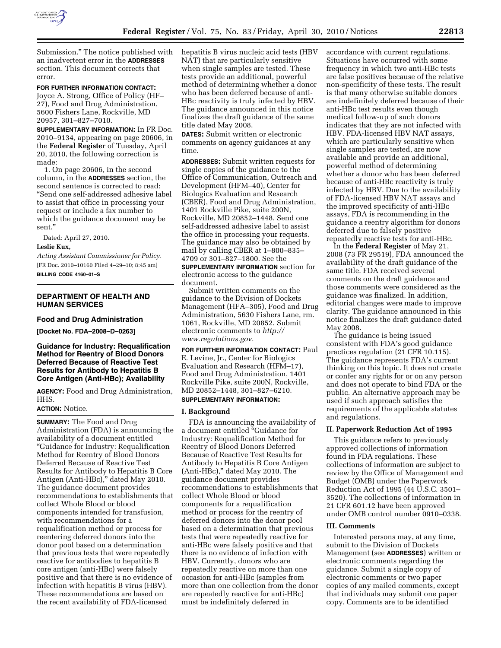

Submission.'' The notice published with an inadvertent error in the **ADDRESSES** section. This document corrects that error.

#### **FOR FURTHER INFORMATION CONTACT:**

Joyce A. Strong, Office of Policy (HF– 27), Food and Drug Administration, 5600 Fishers Lane, Rockville, MD 20957, 301–827–7010.

**SUPPLEMENTARY INFORMATION:** In FR Doc. 2010–9134, appearing on page 20606, in the **Federal Register** of Tuesday, April 20, 2010, the following correction is made:

1. On page 20606, in the second column, in the **ADDRESSES** section, the second sentence is corrected to read: ''Send one self-addressed adhesive label to assist that office in processing your request or include a fax number to which the guidance document may be sent.''

Dated: April 27, 2010.

#### **Leslie Kux,**

*Acting Assistant Commissioner for Policy.*  [FR Doc. 2010–10160 Filed 4–29–10; 8:45 am] **BILLING CODE 4160–01–S** 

## **DEPARTMENT OF HEALTH AND HUMAN SERVICES**

#### **Food and Drug Administration**

**[Docket No. FDA–2008–D–0263]** 

# **Guidance for Industry: Requalification Method for Reentry of Blood Donors Deferred Because of Reactive Test Results for Antibody to Hepatitis B Core Antigen (Anti-HBc); Availability**

**AGENCY:** Food and Drug Administration, HHS.

## **ACTION:** Notice.

**SUMMARY:** The Food and Drug Administration (FDA) is announcing the availability of a document entitled ''Guidance for Industry: Requalification Method for Reentry of Blood Donors Deferred Because of Reactive Test Results for Antibody to Hepatitis B Core Antigen (Anti-HBc)," dated May 2010. The guidance document provides recommendations to establishments that collect Whole Blood or blood components intended for transfusion, with recommendations for a requalification method or process for reentering deferred donors into the donor pool based on a determination that previous tests that were repeatedly reactive for antibodies to hepatitis B core antigen (anti-HBc) were falsely positive and that there is no evidence of infection with hepatitis B virus (HBV). These recommendations are based on the recent availability of FDA-licensed

hepatitis B virus nucleic acid tests (HBV NAT) that are particularly sensitive when single samples are tested. These tests provide an additional, powerful method of determining whether a donor who has been deferred because of anti-HBc reactivity is truly infected by HBV. The guidance announced in this notice finalizes the draft guidance of the same title dated May 2008.

**DATES:** Submit written or electronic comments on agency guidances at any time.

**ADDRESSES:** Submit written requests for single copies of the guidance to the Office of Communication, Outreach and Development (HFM–40), Center for Biologics Evaluation and Research (CBER), Food and Drug Administration, 1401 Rockville Pike, suite 200N, Rockville, MD 20852–1448. Send one self-addressed adhesive label to assist the office in processing your requests. The guidance may also be obtained by mail by calling CBER at 1–800–835– 4709 or 301–827–1800. See the

**SUPPLEMENTARY INFORMATION** section for electronic access to the guidance document.

Submit written comments on the guidance to the Division of Dockets Management (HFA–305), Food and Drug Administration, 5630 Fishers Lane, rm. 1061, Rockville, MD 20852. Submit electronic comments to *http:// www.regulations.gov*.

**FOR FURTHER INFORMATION CONTACT:** Paul E. Levine, Jr., Center for Biologics Evaluation and Research (HFM–17), Food and Drug Administration, 1401 Rockville Pike, suite 200N, Rockville, MD 20852–1448, 301–827–6210.

# **SUPPLEMENTARY INFORMATION:**

#### **I. Background**

FDA is announcing the availability of a document entitled ''Guidance for Industry: Requalification Method for Reentry of Blood Donors Deferred Because of Reactive Test Results for Antibody to Hepatitis B Core Antigen (Anti-HBc),'' dated May 2010. The guidance document provides recommendations to establishments that collect Whole Blood or blood components for a requalification method or process for the reentry of deferred donors into the donor pool based on a determination that previous tests that were repeatedly reactive for anti-HBc were falsely positive and that there is no evidence of infection with HBV. Currently, donors who are repeatedly reactive on more than one occasion for anti-HBc (samples from more than one collection from the donor are repeatedly reactive for anti-HBc) must be indefinitely deferred in

accordance with current regulations. Situations have occurred with some frequency in which two anti-HBc tests are false positives because of the relative non-specificity of these tests. The result is that many otherwise suitable donors are indefinitely deferred because of their anti-HBc test results even though medical follow-up of such donors indicates that they are not infected with HBV. FDA-licensed HBV NAT assays, which are particularly sensitive when single samples are tested, are now available and provide an additional, powerful method of determining whether a donor who has been deferred because of anti-HBc reactivity is truly infected by HBV. Due to the availability of FDA-licensed HBV NAT assays and the improved specificity of anti-HBc assays, FDA is recommending in the guidance a reentry algorithm for donors deferred due to falsely positive repeatedly reactive tests for anti-HBc.

In the **Federal Register** of May 21, 2008 (73 FR 29519), FDA announced the availability of the draft guidance of the same title. FDA received several comments on the draft guidance and those comments were considered as the guidance was finalized. In addition, editorial changes were made to improve clarity. The guidance announced in this notice finalizes the draft guidance dated May 2008.

The guidance is being issued consistent with FDA's good guidance practices regulation (21 CFR 10.115). The guidance represents FDA's current thinking on this topic. It does not create or confer any rights for or on any person and does not operate to bind FDA or the public. An alternative approach may be used if such approach satisfies the requirements of the applicable statutes and regulations.

## **II. Paperwork Reduction Act of 1995**

This guidance refers to previously approved collections of information found in FDA regulations. These collections of information are subject to review by the Office of Management and Budget (OMB) under the Paperwork Reduction Act of 1995 (44 U.S.C. 3501– 3520). The collections of information in 21 CFR 601.12 have been approved under OMB control number 0910–0338.

#### **III. Comments**

Interested persons may, at any time, submit to the Division of Dockets Management (see **ADDRESSES**) written or electronic comments regarding the guidance. Submit a single copy of electronic comments or two paper copies of any mailed comments, except that individuals may submit one paper copy. Comments are to be identified